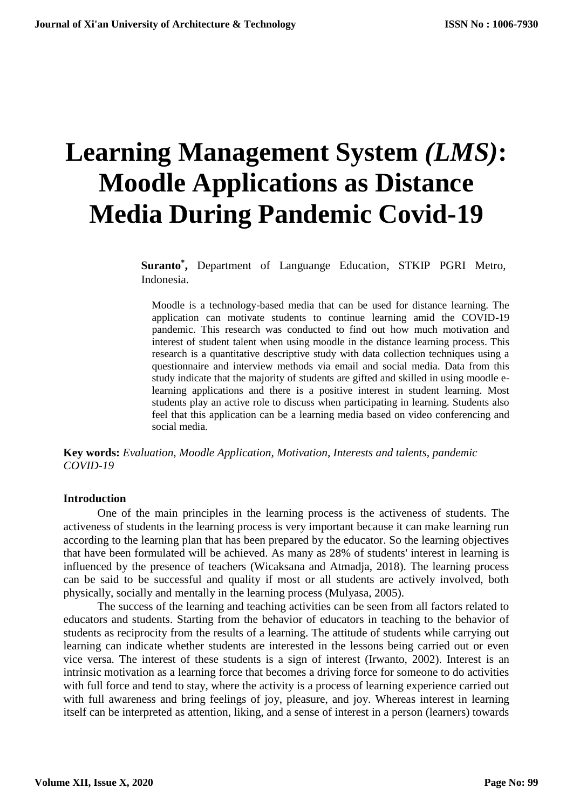# **Learning Management System** *(LMS)***: Moodle Applications as Distance Media During Pandemic Covid-19**

**Suranto\* ,** Department of Languange Education, STKIP PGRI Metro, Indonesia.

Moodle is a technology-based media that can be used for distance learning. The application can motivate students to continue learning amid the COVID-19 pandemic. This research was conducted to find out how much motivation and interest of student talent when using moodle in the distance learning process. This research is a quantitative descriptive study with data collection techniques using a questionnaire and interview methods via email and social media. Data from this study indicate that the majority of students are gifted and skilled in using moodle elearning applications and there is a positive interest in student learning. Most students play an active role to discuss when participating in learning. Students also feel that this application can be a learning media based on video conferencing and social media.

**Key words:** *Evaluation, Moodle Application, Motivation, Interests and talents, pandemic COVID-19*

## **Introduction**

One of the main principles in the learning process is the activeness of students. The activeness of students in the learning process is very important because it can make learning run according to the learning plan that has been prepared by the educator. So the learning objectives that have been formulated will be achieved. As many as 28% of students' interest in learning is influenced by the presence of teachers (Wicaksana and Atmadja, 2018). The learning process can be said to be successful and quality if most or all students are actively involved, both physically, socially and mentally in the learning process (Mulyasa, 2005).

The success of the learning and teaching activities can be seen from all factors related to educators and students. Starting from the behavior of educators in teaching to the behavior of students as reciprocity from the results of a learning. The attitude of students while carrying out learning can indicate whether students are interested in the lessons being carried out or even vice versa. The interest of these students is a sign of interest (Irwanto, 2002). Interest is an intrinsic motivation as a learning force that becomes a driving force for someone to do activities with full force and tend to stay, where the activity is a process of learning experience carried out with full awareness and bring feelings of joy, pleasure, and joy. Whereas interest in learning itself can be interpreted as attention, liking, and a sense of interest in a person (learners) towards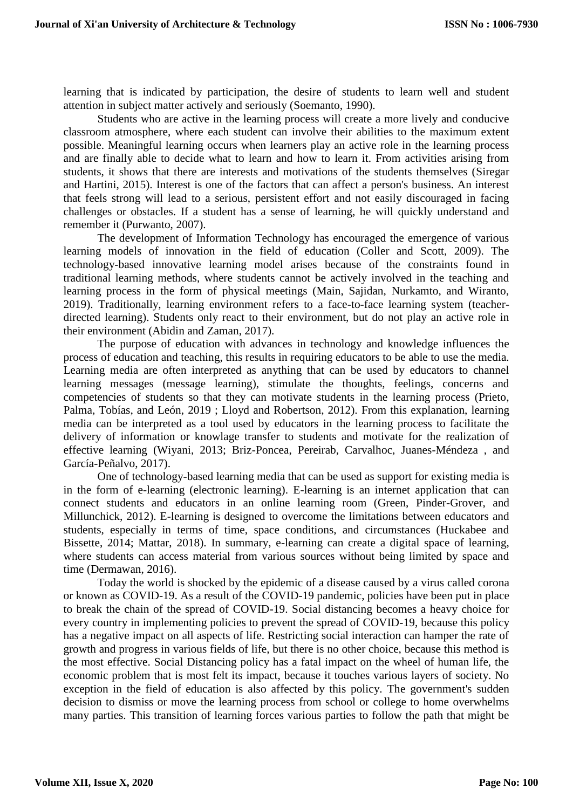learning that is indicated by participation, the desire of students to learn well and student attention in subject matter actively and seriously (Soemanto, 1990).

Students who are active in the learning process will create a more lively and conducive classroom atmosphere, where each student can involve their abilities to the maximum extent possible. Meaningful learning occurs when learners play an active role in the learning process and are finally able to decide what to learn and how to learn it. From activities arising from students, it shows that there are interests and motivations of the students themselves (Siregar and Hartini, 2015). Interest is one of the factors that can affect a person's business. An interest that feels strong will lead to a serious, persistent effort and not easily discouraged in facing challenges or obstacles. If a student has a sense of learning, he will quickly understand and remember it (Purwanto, 2007).

The development of Information Technology has encouraged the emergence of various learning models of innovation in the field of education (Coller and Scott, 2009). The technology-based innovative learning model arises because of the constraints found in traditional learning methods, where students cannot be actively involved in the teaching and learning process in the form of physical meetings (Main, Sajidan, Nurkamto, and Wiranto, 2019). Traditionally, learning environment refers to a face-to-face learning system (teacherdirected learning). Students only react to their environment, but do not play an active role in their environment (Abidin and Zaman, 2017).

The purpose of education with advances in technology and knowledge influences the process of education and teaching, this results in requiring educators to be able to use the media. Learning media are often interpreted as anything that can be used by educators to channel learning messages (message learning), stimulate the thoughts, feelings, concerns and competencies of students so that they can motivate students in the learning process (Prieto, Palma, Tobías, and León, 2019 ; Lloyd and Robertson, 2012). From this explanation, learning media can be interpreted as a tool used by educators in the learning process to facilitate the delivery of information or knowlage transfer to students and motivate for the realization of effective learning (Wiyani, 2013; Briz-Poncea, Pereirab, Carvalhoc, Juanes-Méndeza , and García-Peñalvo, 2017).

One of technology-based learning media that can be used as support for existing media is in the form of e-learning (electronic learning). E-learning is an internet application that can connect students and educators in an online learning room (Green, Pinder-Grover, and Millunchick, 2012). E-learning is designed to overcome the limitations between educators and students, especially in terms of time, space conditions, and circumstances (Huckabee and Bissette, 2014; Mattar, 2018). In summary, e-learning can create a digital space of learning, where students can access material from various sources without being limited by space and time (Dermawan, 2016).

Today the world is shocked by the epidemic of a disease caused by a virus called corona or known as COVID-19. As a result of the COVID-19 pandemic, policies have been put in place to break the chain of the spread of COVID-19. Social distancing becomes a heavy choice for every country in implementing policies to prevent the spread of COVID-19, because this policy has a negative impact on all aspects of life. Restricting social interaction can hamper the rate of growth and progress in various fields of life, but there is no other choice, because this method is the most effective. Social Distancing policy has a fatal impact on the wheel of human life, the economic problem that is most felt its impact, because it touches various layers of society. No exception in the field of education is also affected by this policy. The government's sudden decision to dismiss or move the learning process from school or college to home overwhelms many parties. This transition of learning forces various parties to follow the path that might be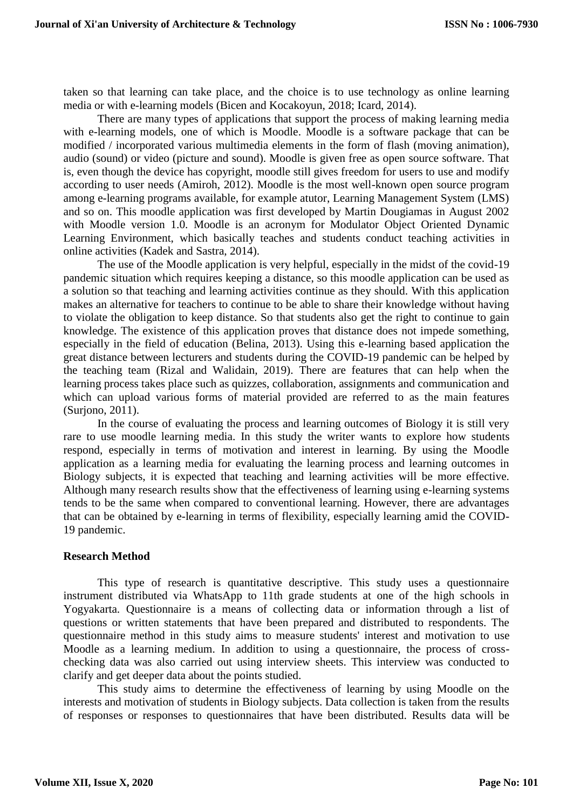taken so that learning can take place, and the choice is to use technology as online learning media or with e-learning models (Bicen and Kocakoyun, 2018; Icard, 2014).

There are many types of applications that support the process of making learning media with e-learning models, one of which is Moodle. Moodle is a software package that can be modified / incorporated various multimedia elements in the form of flash (moving animation), audio (sound) or video (picture and sound). Moodle is given free as open source software. That is, even though the device has copyright, moodle still gives freedom for users to use and modify according to user needs (Amiroh, 2012). Moodle is the most well-known open source program among e-learning programs available, for example atutor, Learning Management System (LMS) and so on. This moodle application was first developed by Martin Dougiamas in August 2002 with Moodle version 1.0. Moodle is an acronym for Modulator Object Oriented Dynamic Learning Environment, which basically teaches and students conduct teaching activities in online activities (Kadek and Sastra, 2014).

The use of the Moodle application is very helpful, especially in the midst of the covid-19 pandemic situation which requires keeping a distance, so this moodle application can be used as a solution so that teaching and learning activities continue as they should. With this application makes an alternative for teachers to continue to be able to share their knowledge without having to violate the obligation to keep distance. So that students also get the right to continue to gain knowledge. The existence of this application proves that distance does not impede something, especially in the field of education (Belina, 2013). Using this e-learning based application the great distance between lecturers and students during the COVID-19 pandemic can be helped by the teaching team (Rizal and Walidain, 2019). There are features that can help when the learning process takes place such as quizzes, collaboration, assignments and communication and which can upload various forms of material provided are referred to as the main features (Surjono, 2011).

In the course of evaluating the process and learning outcomes of Biology it is still very rare to use moodle learning media. In this study the writer wants to explore how students respond, especially in terms of motivation and interest in learning. By using the Moodle application as a learning media for evaluating the learning process and learning outcomes in Biology subjects, it is expected that teaching and learning activities will be more effective. Although many research results show that the effectiveness of learning using e-learning systems tends to be the same when compared to conventional learning. However, there are advantages that can be obtained by e-learning in terms of flexibility, especially learning amid the COVID-19 pandemic.

## **Research Method**

This type of research is quantitative descriptive. This study uses a questionnaire instrument distributed via WhatsApp to 11th grade students at one of the high schools in Yogyakarta. Questionnaire is a means of collecting data or information through a list of questions or written statements that have been prepared and distributed to respondents. The questionnaire method in this study aims to measure students' interest and motivation to use Moodle as a learning medium. In addition to using a questionnaire, the process of crosschecking data was also carried out using interview sheets. This interview was conducted to clarify and get deeper data about the points studied.

This study aims to determine the effectiveness of learning by using Moodle on the interests and motivation of students in Biology subjects. Data collection is taken from the results of responses or responses to questionnaires that have been distributed. Results data will be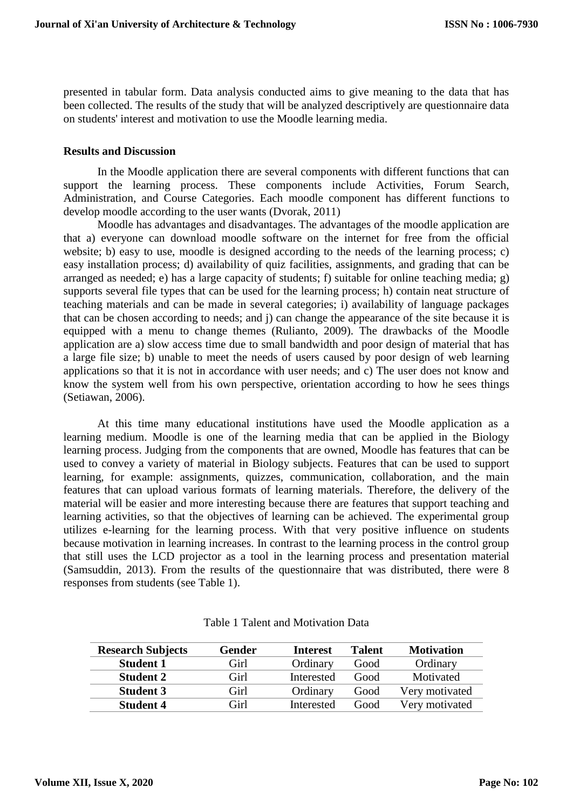presented in tabular form. Data analysis conducted aims to give meaning to the data that has been collected. The results of the study that will be analyzed descriptively are questionnaire data on students' interest and motivation to use the Moodle learning media.

#### **Results and Discussion**

In the Moodle application there are several components with different functions that can support the learning process. These components include Activities, Forum Search, Administration, and Course Categories. Each moodle component has different functions to develop moodle according to the user wants (Dvorak, 2011)

Moodle has advantages and disadvantages. The advantages of the moodle application are that a) everyone can download moodle software on the internet for free from the official website; b) easy to use, moodle is designed according to the needs of the learning process; c) easy installation process; d) availability of quiz facilities, assignments, and grading that can be arranged as needed; e) has a large capacity of students; f) suitable for online teaching media; g) supports several file types that can be used for the learning process; h) contain neat structure of teaching materials and can be made in several categories; i) availability of language packages that can be chosen according to needs; and j) can change the appearance of the site because it is equipped with a menu to change themes (Rulianto, 2009). The drawbacks of the Moodle application are a) slow access time due to small bandwidth and poor design of material that has a large file size; b) unable to meet the needs of users caused by poor design of web learning applications so that it is not in accordance with user needs; and c) The user does not know and know the system well from his own perspective, orientation according to how he sees things (Setiawan, 2006).

At this time many educational institutions have used the Moodle application as a learning medium. Moodle is one of the learning media that can be applied in the Biology learning process. Judging from the components that are owned, Moodle has features that can be used to convey a variety of material in Biology subjects. Features that can be used to support learning, for example: assignments, quizzes, communication, collaboration, and the main features that can upload various formats of learning materials. Therefore, the delivery of the material will be easier and more interesting because there are features that support teaching and learning activities, so that the objectives of learning can be achieved. The experimental group utilizes e-learning for the learning process. With that very positive influence on students because motivation in learning increases. In contrast to the learning process in the control group that still uses the LCD projector as a tool in the learning process and presentation material (Samsuddin, 2013). From the results of the questionnaire that was distributed, there were 8 responses from students (see Table 1).

| <b>Research Subjects</b> | Gender | <b>Interest</b> | Talent | <b>Motivation</b> |
|--------------------------|--------|-----------------|--------|-------------------|
| <b>Student 1</b>         | Girl   | Ordinary        | Good   | Ordinary          |
| <b>Student 2</b>         | Girl   | Interested      | Good   | Motivated         |
| <b>Student 3</b>         | Girl   | Ordinary        | Good   | Very motivated    |
| <b>Student 4</b>         | Girl   | Interested      | Good   | Very motivated    |

Table 1 Talent and Motivation Data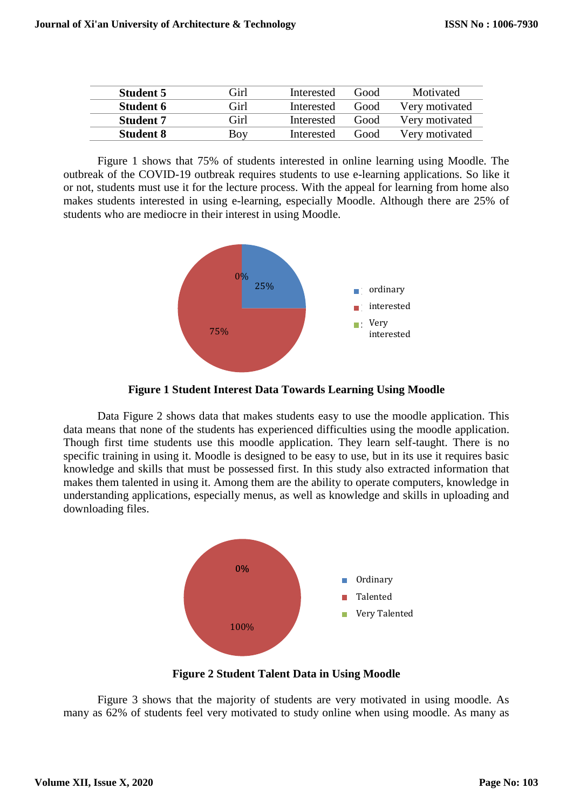| <b>Student 5</b> | Girl | Interested | hoof <b>)</b> | Motivated      |
|------------------|------|------------|---------------|----------------|
| <b>Student 6</b> | Girl | Interested | Good          | Very motivated |
| <b>Student 7</b> | Girl | Interested | Good          | Very motivated |
| <b>Student 8</b> | Boy  | Interested | Good          | Very motivated |

Figure 1 shows that 75% of students interested in online learning using Moodle. The outbreak of the COVID-19 outbreak requires students to use e-learning applications. So like it or not, students must use it for the lecture process. With the appeal for learning from home also makes students interested in using e-learning, especially Moodle. Although there are 25% of students who are mediocre in their interest in using Moodle.



**Figure 1 Student Interest Data Towards Learning Using Moodle**

Data Figure 2 shows data that makes students easy to use the moodle application. This data means that none of the students has experienced difficulties using the moodle application. Though first time students use this moodle application. They learn self-taught. There is no specific training in using it. Moodle is designed to be easy to use, but in its use it requires basic knowledge and skills that must be possessed first. In this study also extracted information that makes them talented in using it. Among them are the ability to operate computers, knowledge in understanding applications, especially menus, as well as knowledge and skills in uploading and downloading files.



**Figure 2 Student Talent Data in Using Moodle**

Figure 3 shows that the majority of students are very motivated in using moodle. As many as 62% of students feel very motivated to study online when using moodle. As many as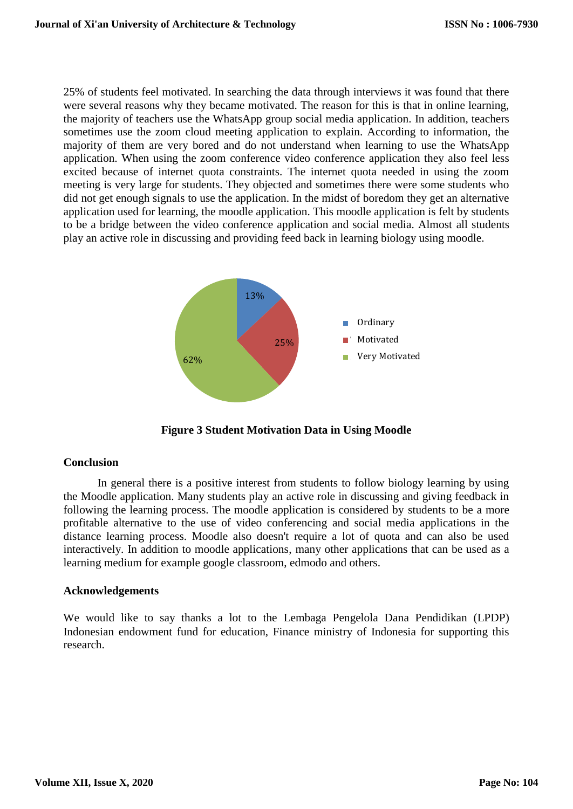25% of students feel motivated. In searching the data through interviews it was found that there were several reasons why they became motivated. The reason for this is that in online learning, the majority of teachers use the WhatsApp group social media application. In addition, teachers sometimes use the zoom cloud meeting application to explain. According to information, the majority of them are very bored and do not understand when learning to use the WhatsApp application. When using the zoom conference video conference application they also feel less excited because of internet quota constraints. The internet quota needed in using the zoom meeting is very large for students. They objected and sometimes there were some students who did not get enough signals to use the application. In the midst of boredom they get an alternative application used for learning, the moodle application. This moodle application is felt by students to be a bridge between the video conference application and social media. Almost all students play an active role in discussing and providing feed back in learning biology using moodle.



**Figure 3 Student Motivation Data in Using Moodle**

# **Conclusion**

In general there is a positive interest from students to follow biology learning by using the Moodle application. Many students play an active role in discussing and giving feedback in following the learning process. The moodle application is considered by students to be a more profitable alternative to the use of video conferencing and social media applications in the distance learning process. Moodle also doesn't require a lot of quota and can also be used interactively. In addition to moodle applications, many other applications that can be used as a learning medium for example google classroom, edmodo and others.

## **Acknowledgements**

We would like to say thanks a lot to the Lembaga Pengelola Dana Pendidikan (LPDP) Indonesian endowment fund for education, Finance ministry of Indonesia for supporting this research.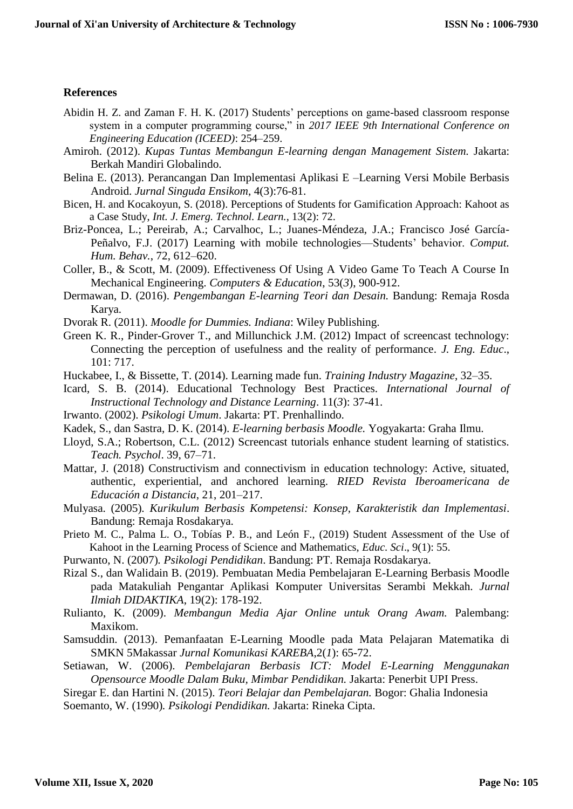## **References**

- Abidin H. Z. and Zaman F. H. K. (2017) Students' perceptions on game-based classroom response system in a computer programming course," in *2017 IEEE 9th International Conference on Engineering Education (ICEED)*: 254–259.
- Amiroh. (2012). *Kupas Tuntas Membangun E-learning dengan Management Sistem.* Jakarta: Berkah Mandiri Globalindo.
- Belina E. (2013). Perancangan Dan Implementasi Aplikasi E –Learning Versi Mobile Berbasis Android. *Jurnal Singuda Ensikom*, 4(3):76-81.
- Bicen, H. and Kocakoyun, S. (2018). Perceptions of Students for Gamification Approach: Kahoot as a Case Study, *Int. J. Emerg. Technol. Learn.*, 13(2): 72.
- Briz-Poncea, L.; Pereirab, A.; Carvalhoc, L.; Juanes-Méndeza, J.A.; Francisco José García-Peñalvo, F.J. (2017) Learning with mobile technologies—Students' behavior. *Comput. Hum. Behav.*, 72, 612–620.
- Coller, B., & Scott, M. (2009). Effectiveness Of Using A Video Game To Teach A Course In Mechanical Engineering. *Computers & Education*, 53(*3*), 900-912.
- Dermawan, D. (2016). *Pengembangan E-learning Teori dan Desain.* Bandung: Remaja Rosda Karya.
- Dvorak R. (2011). *Moodle for Dummies. Indiana*: Wiley Publishing.
- Green K. R., Pinder-Grover T., and Millunchick J.M. (2012) Impact of screencast technology: Connecting the perception of usefulness and the reality of performance. *J. Eng. Educ*., 101: 717.
- Huckabee, I., & Bissette, T. (2014). Learning made fun. *Training Industry Magazine*, 32–35.
- Icard, S. B. (2014). Educational Technology Best Practices. *International Journal of Instructional Technology and Distance Learning*. 11(*3*): 37-41.
- Irwanto. (2002). *Psikologi Umum*. Jakarta: PT. Prenhallindo.
- Kadek, S., dan Sastra, D. K. (2014). *E-learning berbasis Moodle.* Yogyakarta: Graha Ilmu.
- Lloyd, S.A.; Robertson, C.L. (2012) Screencast tutorials enhance student learning of statistics. *Teach. Psychol*. 39, 67–71.
- Mattar, J. (2018) Constructivism and connectivism in education technology: Active, situated, authentic, experiential, and anchored learning. *RIED Revista Iberoamericana de Educación a Distancia*, 21, 201–217.
- Mulyasa. (2005)*. Kurikulum Berbasis Kompetensi: Konsep, Karakteristik dan Implementasi*. Bandung: Remaja Rosdakarya.
- Prieto M. C., Palma L. O., Tobías P. B., and León F., (2019) Student Assessment of the Use of Kahoot in the Learning Process of Science and Mathematics, *Educ. Sci*., 9(1): 55.
- Purwanto, N. (2007)*. Psikologi Pendidikan*. Bandung: PT. Remaja Rosdakarya.
- Rizal S., dan Walidain B. (2019). Pembuatan Media Pembelajaran E-Learning Berbasis Moodle pada Matakuliah Pengantar Aplikasi Komputer Universitas Serambi Mekkah. *Jurnal Ilmiah DIDAKTIKA*, 19(2): 178-192.
- Rulianto, K. (2009). *Membangun Media Ajar Online untuk Orang Awam.* Palembang: Maxikom.
- Samsuddin. (2013). Pemanfaatan E-Learning Moodle pada Mata Pelajaran Matematika di SMKN 5Makassar *Jurnal Komunikasi KAREBA*,2(*1*): 65-72.
- Setiawan, W. (2006). *Pembelajaran Berbasis ICT: Model E-Learning Menggunakan Opensource Moodle Dalam Buku, Mimbar Pendidikan.* Jakarta: Penerbit UPI Press.
- Siregar E. dan Hartini N. (2015). *Teori Belajar dan Pembelajaran.* Bogor: Ghalia Indonesia
- Soemanto, W. (1990)*. Psikologi Pendidikan.* Jakarta: Rineka Cipta.